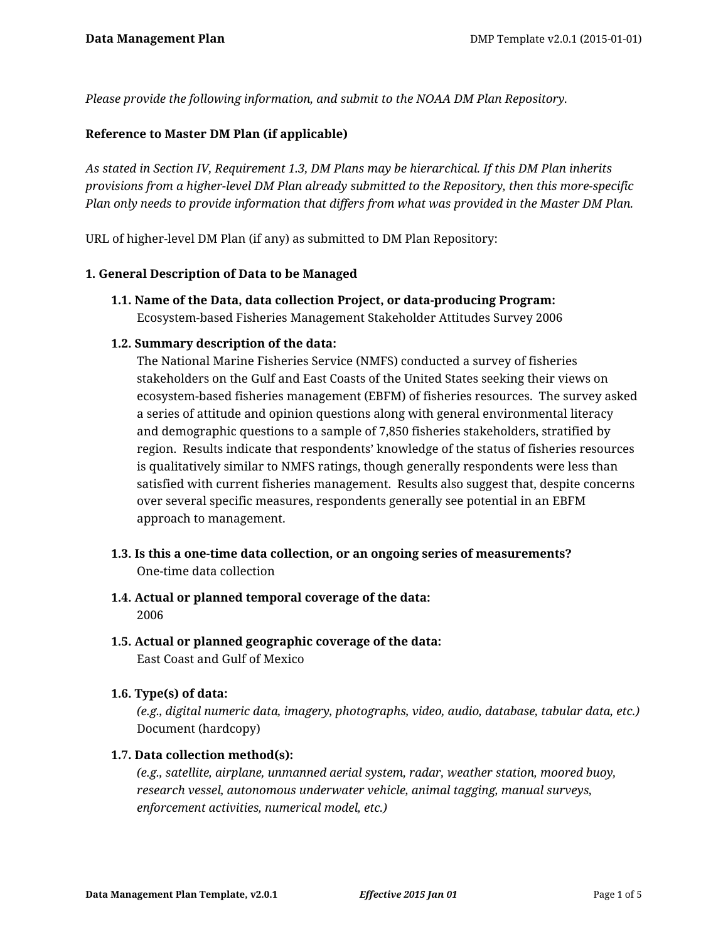*Please provide the following information, and submit to the NOAA DM Plan Repository.*

## **Reference to Master DM Plan (if applicable)**

*As stated in Section IV, Requirement 1.3, DM Plans may be hierarchical. If this DM Plan inherits provisions from a higher-level DM Plan already submitted to the Repository, then this more-specific Plan only needs to provide information that differs from what was provided in the Master DM Plan.*

URL of higher-level DM Plan (if any) as submitted to DM Plan Repository:

### **1. General Description of Data to be Managed**

**1.1. Name of the Data, data collection Project, or data-producing Program:** Ecosystem-based Fisheries Management Stakeholder Attitudes Survey 2006

## **1.2. Summary description of the data:**

The National Marine Fisheries Service (NMFS) conducted a survey of fisheries stakeholders on the Gulf and East Coasts of the United States seeking their views on ecosystem-based fisheries management (EBFM) of fisheries resources. The survey asked a series of attitude and opinion questions along with general environmental literacy and demographic questions to a sample of 7,850 fisheries stakeholders, stratified by region. Results indicate that respondents' knowledge of the status of fisheries resources is qualitatively similar to NMFS ratings, though generally respondents were less than satisfied with current fisheries management. Results also suggest that, despite concerns over several specific measures, respondents generally see potential in an EBFM approach to management.

- **1.3. Is this a one-time data collection, or an ongoing series of measurements?** One-time data collection
- **1.4. Actual or planned temporal coverage of the data:** 2006
- **1.5. Actual or planned geographic coverage of the data:** East Coast and Gulf of Mexico

### **1.6. Type(s) of data:**

*(e.g., digital numeric data, imagery, photographs, video, audio, database, tabular data, etc.)* Document (hardcopy)

## **1.7. Data collection method(s):**

*(e.g., satellite, airplane, unmanned aerial system, radar, weather station, moored buoy, research vessel, autonomous underwater vehicle, animal tagging, manual surveys, enforcement activities, numerical model, etc.)*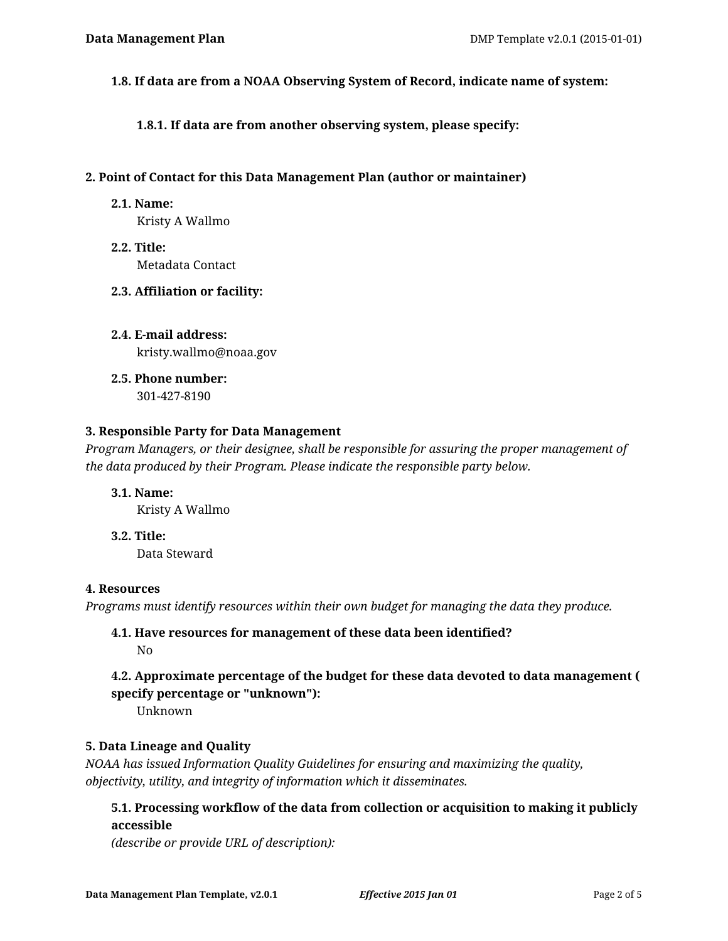**1.8. If data are from a NOAA Observing System of Record, indicate name of system:**

**1.8.1. If data are from another observing system, please specify:**

### **2. Point of Contact for this Data Management Plan (author or maintainer)**

**2.1. Name:**

Kristy A Wallmo

**2.2. Title:** Metadata Contact

## **2.3. Affiliation or facility:**

- **2.4. E-mail address:** kristy.wallmo@noaa.gov
- **2.5. Phone number:** 301-427-8190

## **3. Responsible Party for Data Management**

*Program Managers, or their designee, shall be responsible for assuring the proper management of the data produced by their Program. Please indicate the responsible party below.*

**3.1. Name:** Kristy A Wallmo

**3.2. Title:** Data Steward

### **4. Resources**

*Programs must identify resources within their own budget for managing the data they produce.*

## **4.1. Have resources for management of these data been identified?** No

# **4.2. Approximate percentage of the budget for these data devoted to data management ( specify percentage or "unknown"):**

Unknown

## **5. Data Lineage and Quality**

*NOAA has issued Information Quality Guidelines for ensuring and maximizing the quality, objectivity, utility, and integrity of information which it disseminates.*

# **5.1. Processing workflow of the data from collection or acquisition to making it publicly accessible**

*(describe or provide URL of description):*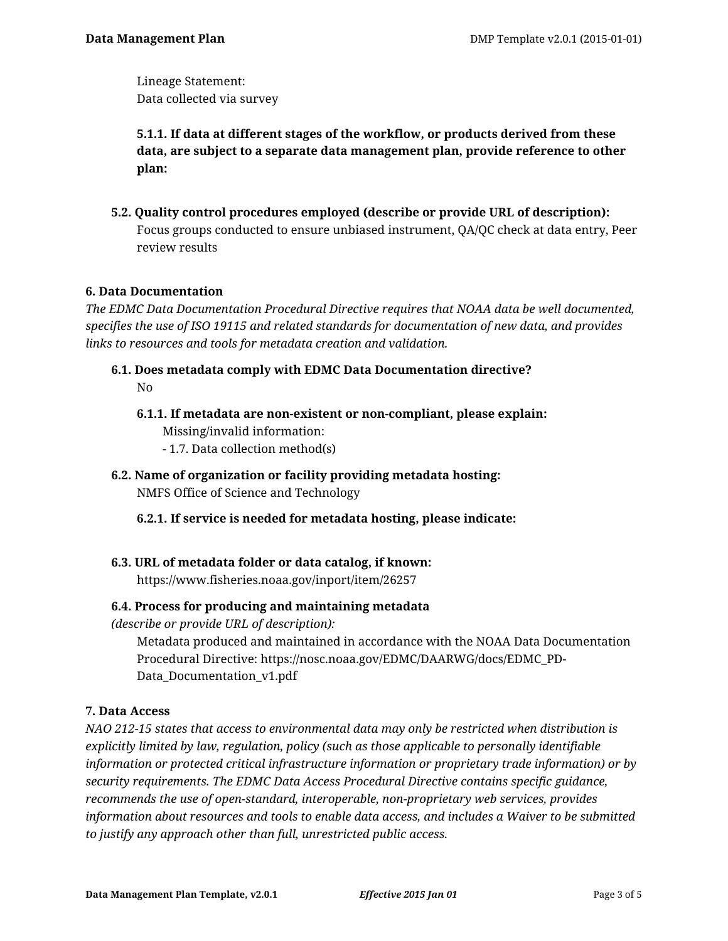Lineage Statement: Data collected via survey

**5.1.1. If data at different stages of the workflow, or products derived from these data, are subject to a separate data management plan, provide reference to other plan:**

**5.2. Quality control procedures employed (describe or provide URL of description):** Focus groups conducted to ensure unbiased instrument, QA/QC check at data entry, Peer review results

# **6. Data Documentation**

*The EDMC Data Documentation Procedural Directive requires that NOAA data be well documented, specifies the use of ISO 19115 and related standards for documentation of new data, and provides links to resources and tools for metadata creation and validation.*

- **6.1. Does metadata comply with EDMC Data Documentation directive?** No
	- **6.1.1. If metadata are non-existent or non-compliant, please explain:** Missing/invalid information: - 1.7. Data collection method(s)
- **6.2. Name of organization or facility providing metadata hosting:** NMFS Office of Science and Technology
	- **6.2.1. If service is needed for metadata hosting, please indicate:**
- **6.3. URL of metadata folder or data catalog, if known:** https://www.fisheries.noaa.gov/inport/item/26257

## **6.4. Process for producing and maintaining metadata**

*(describe or provide URL of description):*

Metadata produced and maintained in accordance with the NOAA Data Documentation Procedural Directive: https://nosc.noaa.gov/EDMC/DAARWG/docs/EDMC\_PD-Data\_Documentation\_v1.pdf

## **7. Data Access**

*NAO 212-15 states that access to environmental data may only be restricted when distribution is explicitly limited by law, regulation, policy (such as those applicable to personally identifiable information or protected critical infrastructure information or proprietary trade information) or by security requirements. The EDMC Data Access Procedural Directive contains specific guidance, recommends the use of open-standard, interoperable, non-proprietary web services, provides information about resources and tools to enable data access, and includes a Waiver to be submitted to justify any approach other than full, unrestricted public access.*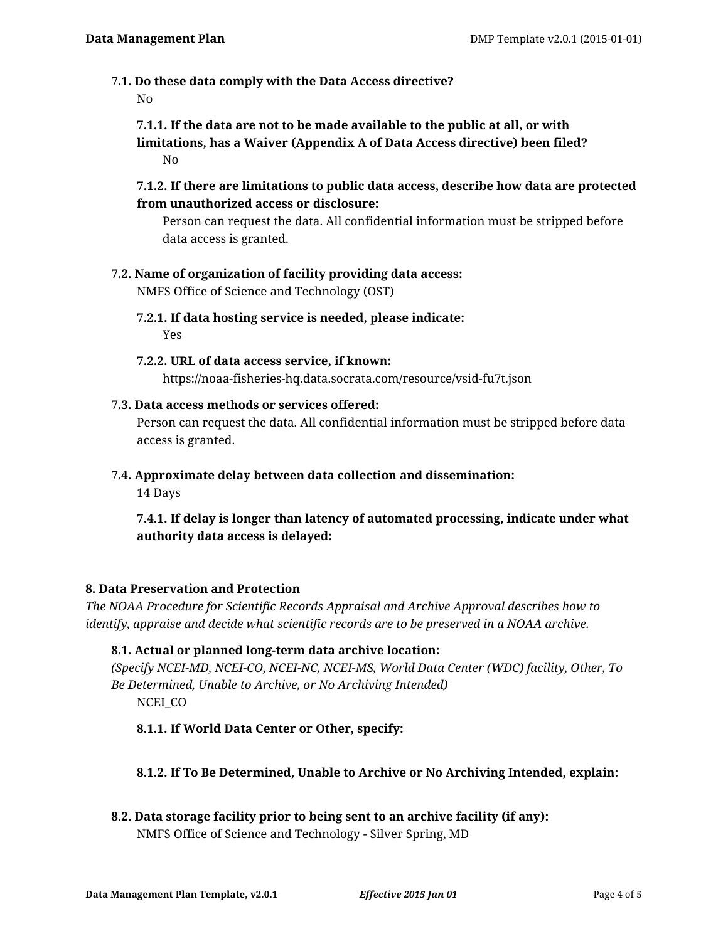**7.1. Do these data comply with the Data Access directive?**

No

**7.1.1. If the data are not to be made available to the public at all, or with limitations, has a Waiver (Appendix A of Data Access directive) been filed?** No

**7.1.2. If there are limitations to public data access, describe how data are protected from unauthorized access or disclosure:**

Person can request the data. All confidential information must be stripped before data access is granted.

**7.2. Name of organization of facility providing data access:**

NMFS Office of Science and Technology (OST)

- **7.2.1. If data hosting service is needed, please indicate:** Yes
- **7.2.2. URL of data access service, if known:** https://noaa-fisheries-hq.data.socrata.com/resource/vsid-fu7t.json
- **7.3. Data access methods or services offered:**

Person can request the data. All confidential information must be stripped before data access is granted.

**7.4. Approximate delay between data collection and dissemination:**

14 Days

**7.4.1. If delay is longer than latency of automated processing, indicate under what authority data access is delayed:**

## **8. Data Preservation and Protection**

*The NOAA Procedure for Scientific Records Appraisal and Archive Approval describes how to identify, appraise and decide what scientific records are to be preserved in a NOAA archive.*

### **8.1. Actual or planned long-term data archive location:**

*(Specify NCEI-MD, NCEI-CO, NCEI-NC, NCEI-MS, World Data Center (WDC) facility, Other, To Be Determined, Unable to Archive, or No Archiving Intended)* NCEI\_CO

**8.1.1. If World Data Center or Other, specify:**

- **8.1.2. If To Be Determined, Unable to Archive or No Archiving Intended, explain:**
- **8.2. Data storage facility prior to being sent to an archive facility (if any):** NMFS Office of Science and Technology - Silver Spring, MD